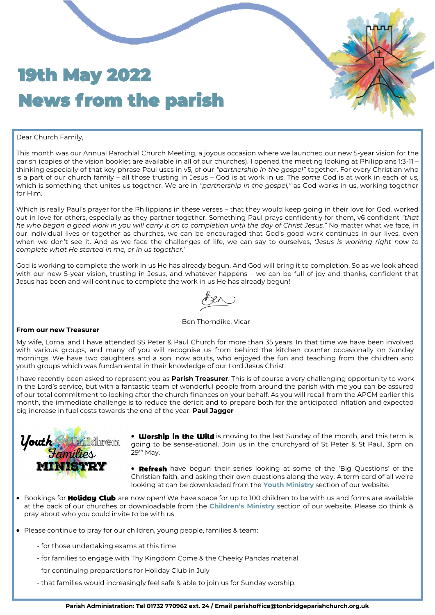## 19th May 2022 News from the parish

#### Dear Church Family,

This month was our Annual Parochial Church Meeting, a joyous occasion where we launched our new 5-year vision for the parish (copies of the vision booklet are available in all of our churches). I opened the meeting looking at Philippians 1:3-11 – thinking especially of that key phrase Paul uses in v5, of our *"partnership in the gospel"* together. For every Christian who is a part of our church family – all those trusting in Jesus – God is at work in us. The *same* God is at work in each of us, which is something that unites us together. We are in *"partnership in the gospel,"* as God works in us, working together for Him.

Which is really Paul's prayer for the Philippians in these verses – that they would keep going in their love for God, worked out in love for others, especially as they partner together. Something Paul prays confidently for them, v6 confident *"that he who began a good work in you will carry it on to completion until the day of Christ Jesus."* No matter what we face, in our individual lives or together as churches, we can be encouraged that God's good work continues in our lives, even when we don't see it. And as we face the challenges of life, we can say to ourselves, *'Jesus is working right now to complete what He started in me, or in us together.'*

God is working to complete the work in us He has already begun. And God will bring it to completion. So as we look ahead with our new 5-year vision, trusting in Jesus, and whatever happens – we can be full of joy and thanks, confident that Jesus has been and will continue to complete the work in us He has already begun!

Ben Thorndike, Vicar

#### **From our new Treasurer**

My wife, Lorna, and I have attended SS Peter & Paul Church for more than 35 years. In that time we have been involved with various groups, and many of you will recognise us from behind the kitchen counter occasionally on Sunday mornings. We have two daughters and a son, now adults, who enjoyed the fun and teaching from the children and youth groups which was fundamental in their knowledge of our Lord Jesus Christ.

I have recently been asked to represent you as **Parish Treasurer**. This is of course a very challenging opportunity to work in the Lord's service, but with a fantastic team of wonderful people from around the parish with me you can be assured of our total commitment to looking after the church finances on your behalf. As you will recall from the APCM earlier this month, the immediate challenge is to reduce the deficit and to prepare both for the anticipated inflation and expected big increase in fuel costs towards the end of the year. **Paul Jagger**



- **Worship in the Wild** is moving to the last Sunday of the month, and this term is going to be sense-ational. Join us in the churchyard of St Peter & St Paul, 3pm on  $29<sup>th</sup>$  Mav.
- Refresh have begun their series looking at some of the 'Big Questions' of the Christian faith, and asking their own questions along the way. A term card of all we're looking at can be downloaded from the **[Youth Ministry](https://tonbridgeparishchurch.org.uk/Groups/338659/Youth.aspx)** section of our website.
- $\bullet$  Bookings for Holiday Club are now open! We have space for up to 100 children to be with us and forms are available at the back of our churches or downloadable from the **Children'[s Ministry](https://tonbridgeparishchurch.org.uk/Groups/338657/Children.aspx)** section of our website. Please do think & pray about who you could invite to be with us.
- Please continue to pray for our children, young people, families & team:
	- for those undertaking exams at this time
	- for families to engage with Thy Kingdom Come & the Cheeky Pandas material
	- for continuing preparations for Holiday Club in July
	- that families would increasingly feel safe & able to join us for Sunday worship.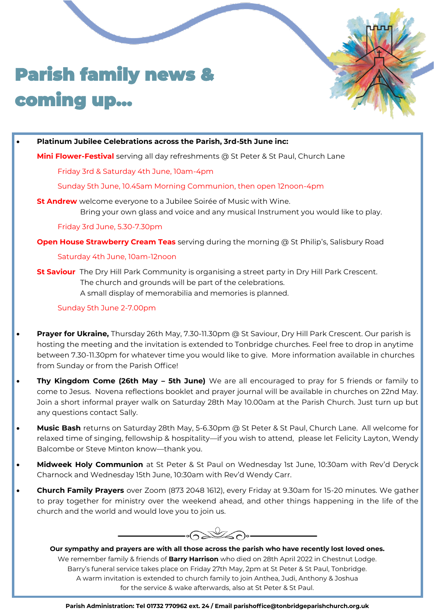# Parish family news & coming up...

#### • **Platinum Jubilee Celebrations across the Parish, 3rd-5th June inc:**

**Mini Flower-Festival** serving all day refreshments @ St Peter & St Paul, Church Lane

#### Friday 3rd & Saturday 4th June, 10am-4pm

Sunday 5th June, 10.45am Morning Communion, then open 12noon-4pm

**St Andrew** welcome everyone to a Jubilee Soirée of Music with Wine. Bring your own glass and voice and any musical Instrument you would like to play.

Friday 3rd June, 5.30-7.30pm

**Open House Strawberry Cream Teas** serving during the morning @ St Philip's, Salisbury Road

#### Saturday 4th June, 10am-12noon

**St Saviour** The Dry Hill Park Community is organising a street party in Dry Hill Park Crescent. The church and grounds will be part of the celebrations. A small display of memorabilia and memories is planned.

### Sunday 5th June 2-7.00pm

- **Prayer for Ukraine,** Thursday 26th May, 7.30-11.30pm @ St Saviour, Dry Hill Park Crescent. Our parish is hosting the meeting and the invitation is extended to Tonbridge churches. Feel free to drop in anytime between 7.30-11.30pm for whatever time you would like to give. More information available in churches from Sunday or from the Parish Office!
- **Thy Kingdom Come (26th May – 5th June)** We are all encouraged to pray for 5 friends or family to come to Jesus. Novena reflections booklet and prayer journal will be available in churches on 22nd May. Join a short informal prayer walk on Saturday 28th May 10.00am at the Parish Church. Just turn up but any questions contact Sally.
- **Music Bash** returns on Saturday 28th May, 5-6.30pm @ St Peter & St Paul, Church Lane. All welcome for relaxed time of singing, fellowship & hospitality—if you wish to attend, please let Felicity Layton, Wendy Balcombe or Steve Minton know—thank you.
- **Midweek Holy Communion** at St Peter & St Paul on Wednesday 1st June, 10:30am with Rev'd Deryck Charnock and Wednesday 15th June, 10:30am with Rev'd Wendy Carr.
- **Church Family Prayers** over Zoom (873 2048 1612), every Friday at 9.30am for 15-20 minutes. We gather to pray together for ministry over the weekend ahead, and other things happening in the life of the church and the world and would love you to join us.

 $\cdot$ Gallan $\cdot$ 

**Our sympathy and prayers are with all those across the parish who have recently lost loved ones.** We remember family & friends of **Barry Harrison** who died on 28th April 2022 in Chestnut Lodge. Barry's funeral service takes place on Friday 27th May, 2pm at St Peter & St Paul, Tonbridge. A warm invitation is extended to church family to join Anthea, Judi, Anthony & Joshua for the service & wake afterwards, also at St Peter & St Paul.